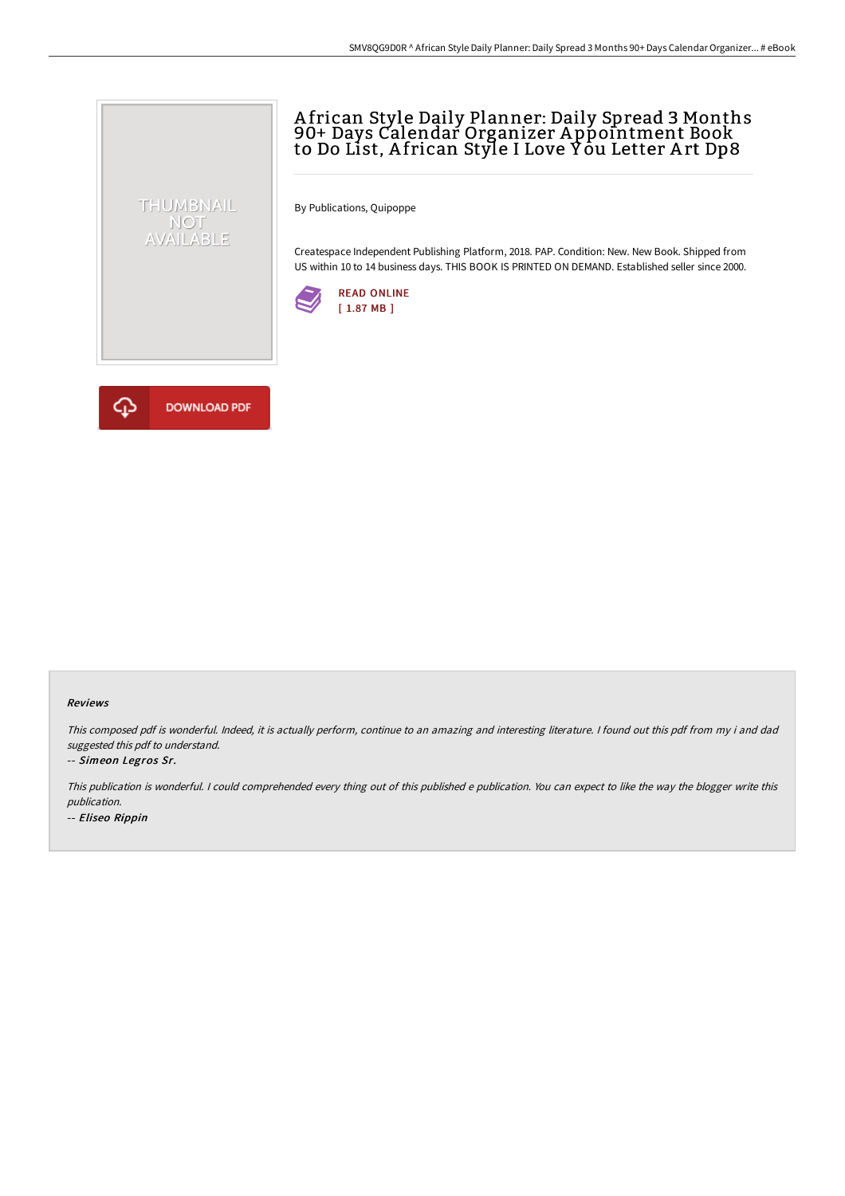# A frican Style Daily Planner: Daily Spread 3 Months 90+ Days Calendar Organizer A ppointment Book to Do List, African Style I Love Yòu Letter Art Dp8

By Publications, Quipoppe

Createspace Independent Publishing Platform, 2018. PAP. Condition: New. New Book. Shipped from US within 10 to 14 business days. THIS BOOK IS PRINTED ON DEMAND. Established seller since 2000.





THUMBNAIL NOT<br>AVAILABLE

### Reviews

This composed pdf is wonderful. Indeed, it is actually perform, continue to an amazing and interesting literature. <sup>I</sup> found out this pdf from my i and dad suggested this pdf to understand.

### -- Simeon Legros Sr.

This publication is wonderful. <sup>I</sup> could comprehended every thing out of this published <sup>e</sup> publication. You can expect to like the way the blogger write this publication.

-- Eliseo Rippin